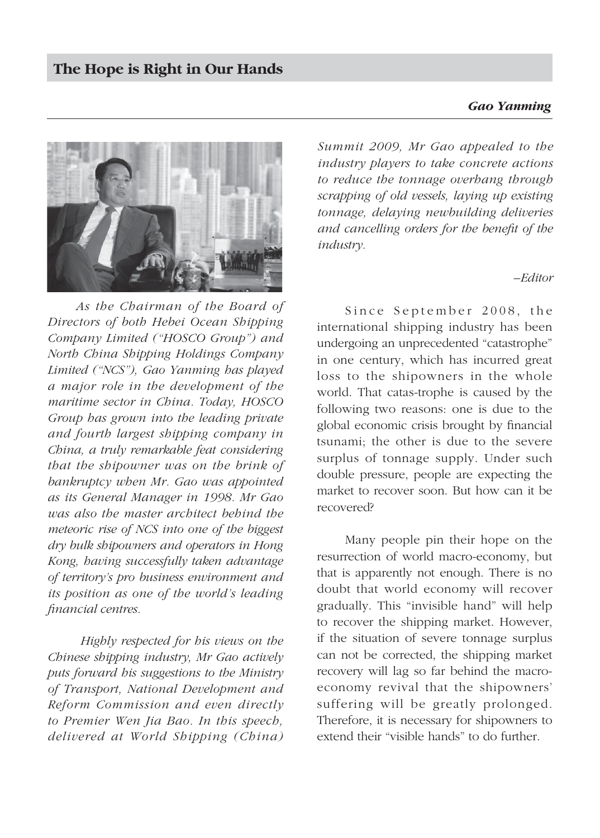## *Gao Yanming*



*As the Chairman of the Board of Directors of both Hebei Ocean Shipping Company Limited ("HOSCO Group") and North China Shipping Holdings Company Limited ("NCS"), Gao Yanming has played a major role in the development of the maritime sector in China. Today, HOSCO Group has grown into the leading private and fourth largest shipping company in China, a truly remarkable feat considering that the shipowner was on the brink of bankruptcy when Mr. Gao was appointed as its General Manager in 1998. Mr Gao was also the master architect behind the meteoric rise of NCS into one of the biggest dry bulk shipowners and operators in Hong Kong, having successfully taken advantage of territory's pro business environment and its position as one of the world's leading fi nancial centres.*

 *Highly respected for his views on the Chinese shipping industry, Mr Gao actively puts forward his suggestions to the Ministry of Transport, National Development and Reform Commission and even directly to Premier Wen Jia Bao. In this speech, delivered at World Shipping (China)*  *Summit 2009, Mr Gao appealed to the industry players to take concrete actions to reduce the tonnage overhang through scrapping of old vessels, laying up existing tonnage, delaying newbuilding deliveries and cancelling orders for the benefi t of the industry.*

## *–Editor*

Since September 2008, the international shipping industry has been undergoing an unprecedented "catastrophe" in one century, which has incurred great loss to the shipowners in the whole world. That catas-trophe is caused by the following two reasons: one is due to the global economic crisis brought by financial tsunami; the other is due to the severe surplus of tonnage supply. Under such double pressure, people are expecting the market to recover soon. But how can it be recovered?

Many people pin their hope on the resurrection of world macro-economy, but that is apparently not enough. There is no doubt that world economy will recover gradually. This "invisible hand" will help to recover the shipping market. However, if the situation of severe tonnage surplus can not be corrected, the shipping market recovery will lag so far behind the macroeconomy revival that the shipowners' suffering will be greatly prolonged. Therefore, it is necessary for shipowners to extend their "visible hands" to do further.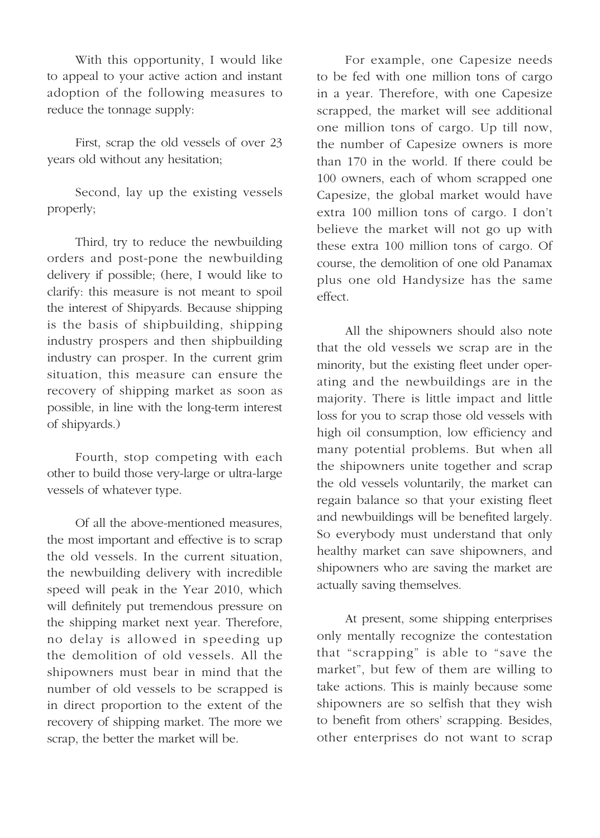With this opportunity, I would like to appeal to your active action and instant adoption of the following measures to reduce the tonnage supply:

First, scrap the old vessels of over 23 years old without any hesitation;

Second, lay up the existing vessels properly;

Third, try to reduce the newbuilding orders and post-pone the newbuilding delivery if possible; (here, I would like to clarify: this measure is not meant to spoil the interest of Shipyards. Because shipping is the basis of shipbuilding, shipping industry prospers and then shipbuilding industry can prosper. In the current grim situation, this measure can ensure the recovery of shipping market as soon as possible, in line with the long-term interest of shipyards.)

Fourth, stop competing with each other to build those very-large or ultra-large vessels of whatever type.

Of all the above-mentioned measures, the most important and effective is to scrap the old vessels. In the current situation, the newbuilding delivery with incredible speed will peak in the Year 2010, which will definitely put tremendous pressure on the shipping market next year. Therefore, no delay is allowed in speeding up the demolition of old vessels. All the shipowners must bear in mind that the number of old vessels to be scrapped is in direct proportion to the extent of the recovery of shipping market. The more we scrap, the better the market will be.

For example, one Capesize needs to be fed with one million tons of cargo in a year. Therefore, with one Capesize scrapped, the market will see additional one million tons of cargo. Up till now, the number of Capesize owners is more than 170 in the world. If there could be 100 owners, each of whom scrapped one Capesize, the global market would have extra 100 million tons of cargo. I don't believe the market will not go up with these extra 100 million tons of cargo. Of course, the demolition of one old Panamax plus one old Handysize has the same effect.

All the shipowners should also note that the old vessels we scrap are in the minority, but the existing fleet under operating and the newbuildings are in the majority. There is little impact and little loss for you to scrap those old vessels with high oil consumption, low efficiency and many potential problems. But when all the shipowners unite together and scrap the old vessels voluntarily, the market can regain balance so that your existing fleet and newbuildings will be benefited largely. So everybody must understand that only healthy market can save shipowners, and shipowners who are saving the market are actually saving themselves.

At present, some shipping enterprises only mentally recognize the contestation that "scrapping" is able to "save the market", but few of them are willing to take actions. This is mainly because some shipowners are so selfish that they wish to benefit from others' scrapping. Besides, other enterprises do not want to scrap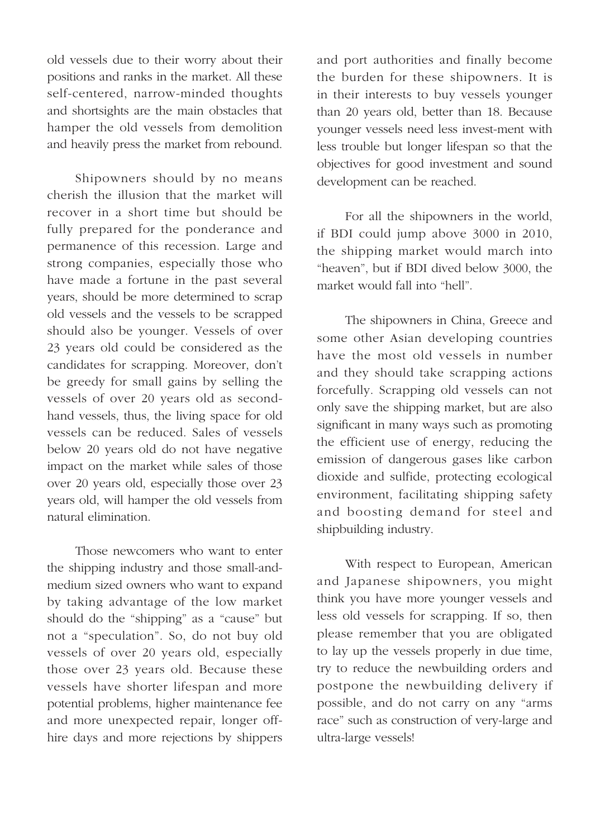old vessels due to their worry about their positions and ranks in the market. All these self-centered, narrow-minded thoughts and shortsights are the main obstacles that hamper the old vessels from demolition and heavily press the market from rebound.

Shipowners should by no means cherish the illusion that the market will recover in a short time but should be fully prepared for the ponderance and permanence of this recession. Large and strong companies, especially those who have made a fortune in the past several years, should be more determined to scrap old vessels and the vessels to be scrapped should also be younger. Vessels of over 23 years old could be considered as the candidates for scrapping. Moreover, don't be greedy for small gains by selling the vessels of over 20 years old as secondhand vessels, thus, the living space for old vessels can be reduced. Sales of vessels below 20 years old do not have negative impact on the market while sales of those over 20 years old, especially those over 23 years old, will hamper the old vessels from natural elimination.

Those newcomers who want to enter the shipping industry and those small-andmedium sized owners who want to expand by taking advantage of the low market should do the "shipping" as a "cause" but not a "speculation". So, do not buy old vessels of over 20 years old, especially those over 23 years old. Because these vessels have shorter lifespan and more potential problems, higher maintenance fee and more unexpected repair, longer offhire days and more rejections by shippers

and port authorities and finally become the burden for these shipowners. It is in their interests to buy vessels younger than 20 years old, better than 18. Because younger vessels need less invest-ment with less trouble but longer lifespan so that the objectives for good investment and sound development can be reached.

For all the shipowners in the world, if BDI could jump above 3000 in 2010, the shipping market would march into "heaven", but if BDI dived below 3000, the market would fall into "hell".

The shipowners in China, Greece and some other Asian developing countries have the most old vessels in number and they should take scrapping actions forcefully. Scrapping old vessels can not only save the shipping market, but are also significant in many ways such as promoting the efficient use of energy, reducing the emission of dangerous gases like carbon dioxide and sulfide, protecting ecological environment, facilitating shipping safety and boosting demand for steel and shipbuilding industry.

With respect to European, American and Japanese shipowners, you might think you have more younger vessels and less old vessels for scrapping. If so, then please remember that you are obligated to lay up the vessels properly in due time, try to reduce the newbuilding orders and postpone the newbuilding delivery if possible, and do not carry on any "arms race" such as construction of very-large and ultra-large vessels!